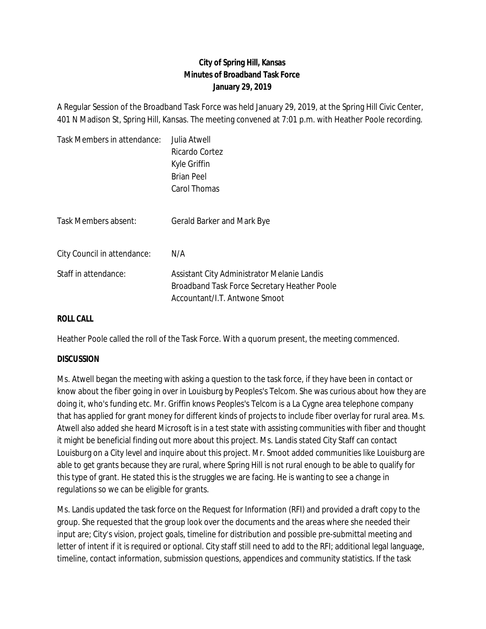## **City of Spring Hill, Kansas Minutes of Broadband Task Force January 29, 2019**

A Regular Session of the Broadband Task Force was held January 29, 2019, at the Spring Hill Civic Center, 401 N Madison St, Spring Hill, Kansas. The meeting convened at 7:01 p.m. with Heather Poole recording.

| Task Members in attendance: | Julia Atwell                                                                                                                 |
|-----------------------------|------------------------------------------------------------------------------------------------------------------------------|
|                             | Ricardo Cortez                                                                                                               |
|                             | Kyle Griffin                                                                                                                 |
|                             | <b>Brian Peel</b>                                                                                                            |
|                             | Carol Thomas                                                                                                                 |
| Task Members absent:        |                                                                                                                              |
|                             | Gerald Barker and Mark Bye                                                                                                   |
| City Council in attendance: | N/A                                                                                                                          |
| Staff in attendance:        | Assistant City Administrator Melanie Landis<br>Broadband Task Force Secretary Heather Poole<br>Accountant/I.T. Antwone Smoot |

## **ROLL CALL**

Heather Poole called the roll of the Task Force. With a quorum present, the meeting commenced.

## **DISCUSSION**

Ms. Atwell began the meeting with asking a question to the task force, if they have been in contact or know about the fiber going in over in Louisburg by Peoples's Telcom. She was curious about how they are doing it, who's funding etc. Mr. Griffin knows Peoples's Telcom is a La Cygne area telephone company that has applied for grant money for different kinds of projects to include fiber overlay for rural area. Ms. Atwell also added she heard Microsoft is in a test state with assisting communities with fiber and thought it might be beneficial finding out more about this project. Ms. Landis stated City Staff can contact Louisburg on a City level and inquire about this project. Mr. Smoot added communities like Louisburg are able to get grants because they are rural, where Spring Hill is not rural enough to be able to qualify for this type of grant. He stated this is the struggles we are facing. He is wanting to see a change in regulations so we can be eligible for grants.

Ms. Landis updated the task force on the Request for Information (RFI) and provided a draft copy to the group. She requested that the group look over the documents and the areas where she needed their input are; City's vision, project goals, timeline for distribution and possible pre-submittal meeting and letter of intent if it is required or optional. City staff still need to add to the RFI; additional legal language, timeline, contact information, submission questions, appendices and community statistics. If the task